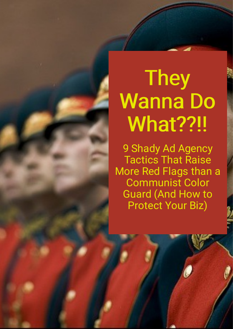# **They** Wanna Do What??!!

9 Shady Ad Agency Tactics That Raise More Red Flags than a Communist Color Guard (And How to Protect Your Biz)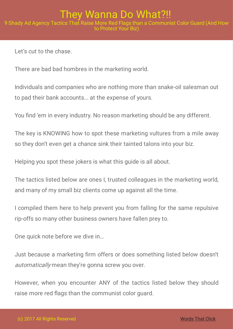Let's cut to the chase.

There are bad bad hombres in the marketing world.

Individuals and companies who are nothing more than snake-oil salesman out to pad their bank accounts... at the expense of yours.

You find 'em in every industry. No reason marketing should be any different.

The key is KNOWING how to spot these marketing vultures from a mile away so they don't even get a chance sink their tainted talons into your biz.

Helping you spot these jokers is what this guide is all about.

The tactics listed below are ones I, trusted colleagues in the marketing world, and many of my small biz clients come up against all the time.

I compiled them here to help prevent you from falling for the same repulsive rip-offs so many other business owners have fallen prey to.

One quick note before we dive in…

Just because a marketing firm offers or does something listed below doesn't automatically mean they're gonna screw you over.

However, when you encounter ANY of the tactics listed below they should raise more red flags than the communist color quard.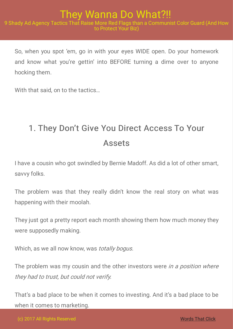So, when you spot 'em, go in with your eyes WIDE open. Do your homework and know what you're gettin' into BEFORE turning a dime over to anyone hocking them.

With that said, on to the tactics…

# 1. They Don't Give You Direct Access To Your Assets

I have a cousin who got swindled by Bernie Madoff. As did a lot of other smart, savvy folks.

The problem was that they really didn't know the real story on what was happening with their moolah.

They just got a pretty report each month showing them how much money they were supposedly making.

Which, as we all now know, was *totally bogus.* 

The problem was my cousin and the other investors were *in a position where* they had to trust, but could not verify.

That's a bad place to be when it comes to investing. And it's a bad place to be when it comes to marketing.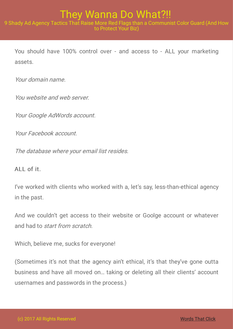You should have 100% control over - and access to - ALL your marketing assets.

Your domain name.

You website and web server.

Your Google AdWords account.

Your Facebook account.

The database where your email list resides.

ALL of it.

I've worked with clients who worked with a, let's say, less-than-ethical agency in the past.

And we couldn't get access to their website or Goolge account or whatever and had to start from scratch.

Which, believe me, sucks for everyone!

(Sometimes it's not that the agency ain't ethical, it's that they've gone outta business and have all moved on… taking or deleting all their clients' account usernames and passwords in the process.)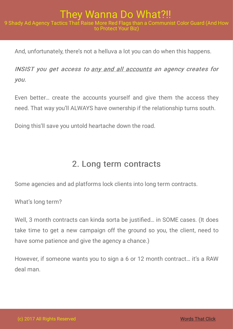And, unfortunately, there's not a helluva a lot you can do when this happens.

INSIST you get access to any and all accounts an agency creates for you.

Even better… create the accounts yourself and give them the access they need. That way you'll ALWAYS have ownership if the relationship turns south.

Doing this'll save you untold heartache down the road.

## 2. Long term contracts

Some agencies and ad platforms lock clients into long term contracts.

What's long term?

Well, 3 month contracts can kinda sorta be justified... in SOME cases. (It does take time to get a new campaign off the ground so you, the client, need to have some patience and give the agency a chance.)

However, if someone wants you to sign a 6 or 12 month contract… it's a RAW deal man.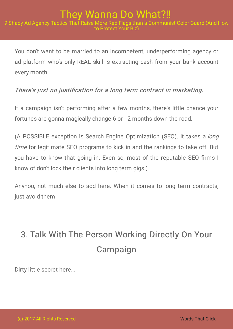You don't want to be married to an incompetent, underperforming agency or ad platform who's only REAL skill is extracting cash from your bank account every month.

#### There's just no justification for a long term contract in marketing.

If a campaign isn't performing after a few months, there's little chance your fortunes are gonna magically change 6 or 12 months down the road.

(A POSSIBLE exception is Search Engine Optimization (SEO). It takes a long time for legitimate SEO programs to kick in and the rankings to take off. But you have to know that going in. Even so, most of the reputable SEO firms I know of don't lock their clients into long term gigs.)

Anyhoo, not much else to add here. When it comes to long term contracts, just avoid them!

# 3. Talk With The Person Working Directly On Your Campaign

Dirty little secret here…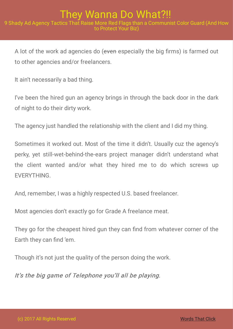A lot of the work ad agencies do (even especially the big firms) is farmed out to other agencies and/or freelancers.

It ain't necessarily a bad thing.

I've been the hired gun an agency brings in through the back door in the dark of night to do their dirty work.

The agency just handled the relationship with the client and I did my thing.

Sometimes it worked out. Most of the time it didn't. Usually cuz the agency's perky, yet still-wet-behind-the-ears project manager didn't understand what the client wanted and/or what they hired me to do which screws up EVERYTHING.

And, remember, I was a highly respected U.S. based freelancer.

Most agencies don't exactly go for Grade A freelance meat.

They go for the cheapest hired gun they can find from whatever corner of the Earth they can find 'em.

Though it's not just the quality of the person doing the work.

It's the big game of Telephone you'll all be playing.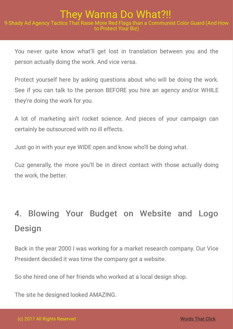You never quite know what'll get lost in translation between you and the person actually doing the work. And vice versa.

Protect yourself here by asking questions about who will be doing the work. See if you can talk to the person BEFORE you hire an agency and/or WHILE they're doing the work for you.

A lot of marketing ain't rocket science. And pieces of your campaign can certainly be outsourced with no ill effects.

Just go in with your eye WIDE open and know who'll be doing what.

Cuz generally, the more you'll be in direct contact with those actually doing the work, the better.

# 4. Blowing Your Budget on Website and Logo Design

Back in the year 2000 I was working for a market research company. Our Vice President decided it was time the company got a website.

So she hired one of her friends who worked at a local design shop.

The site he designed looked AMAZING.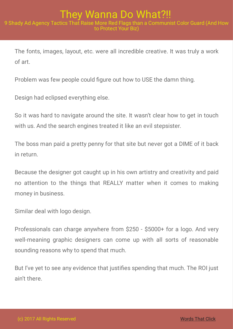The fonts, images, layout, etc. were all incredible creative. It was truly a work of art.

Problem was few people could figure out how to USE the damn thing.

Design had eclipsed everything else.

So it was hard to navigate around the site. It wasn't clear how to get in touch with us. And the search engines treated it like an evil stepsister.

The boss man paid a pretty penny for that site but never got a DIME of it back in return.

Because the designer got caught up in his own artistry and creativity and paid no attention to the things that REALLY matter when it comes to making money in business.

Similar deal with logo design.

Professionals can charge anywhere from \$250 - \$5000+ for a logo. And very well-meaning graphic designers can come up with all sorts of reasonable sounding reasons why to spend that much.

But I've yet to see any evidence that justifies spending that much. The ROI just ain't there.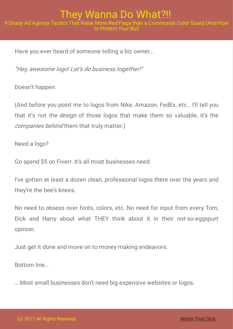Have you ever heard of someone telling a biz owner…

"Hey, awesome logo! Let's do business together!"

Doesn't happen.

(And before you point me to logos from Nike, Amazon, FedEx, etc… I'll tell you that it's not the *design* of those logos that make them so valuable, it's the companies behind them that truly matter.)

Need a logo?

Go spend \$5 on Fiverr. It's all most businesses need.

I've gotten at least a dozen clean, professional logos there over the years and they're the bee's knees.

No need to obsess over fonts, colors, etc. No need for input from every Tom, Dick and Harry about what THEY think about it in their not-so-eggspurt opinion.

Just get it done and move on to money making endeavors.

Bottom line…

… Most small businesses don't need big expensive websites or logos.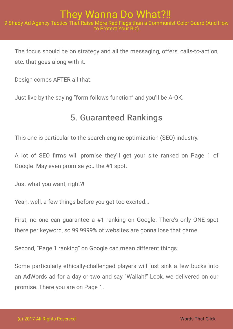The focus should be on strategy and all the messaging, offers, calls-to-action, etc. that goes along with it.

Design comes AFTER all that.

Just live by the saying "form follows function" and you'll be A-OK.

## 5. Guaranteed Rankings

This one is particular to the search engine optimization (SEO) industry.

A lot of SEO firms will promise they'll get your site ranked on Page 1 of Google. May even promise you the #1 spot.

Just what you want, right?!

Yeah, well, a few things before you get too excited…

First, no one can guarantee a #1 ranking on Google. There's only ONE spot there per keyword, so 99.9999% of websites are gonna lose that game.

Second, "Page 1 ranking" on Google can mean different things.

Some particularly ethically-challenged players will just sink a few bucks into an AdWords ad for a day or two and say "Wallah!" Look, we delivered on our promise. There you are on Page 1.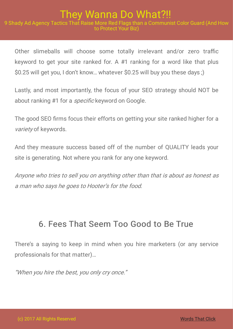#### They Wanna Do What?!! 9 Shady Ad Agency Tactics That Raise More Red Flags than a Communist Color Guard (And How to Protect Your Biz)

Other slimeballs will choose some totally irrelevant and/or zero traffic keyword to get your site ranked for. A #1 ranking for a word like that plus \$0.25 will get you, I don't know… whatever \$0.25 will buy you these days ;)

Lastly, and most importantly, the focus of your SEO strategy should NOT be about ranking #1 for a *specific* keyword on Google.

The good SEO firms focus their efforts on getting your site ranked higher for a variety of keywords.

And they measure success based off of the number of QUALITY leads your site is generating. Not where you rank for any one keyword.

Anyone who tries to sell you on anything other than that is about as honest as <sup>a</sup> man who says he goes to Hooter's for the food.

## 6. Fees That Seem Too Good to Be True

There's a saying to keep in mind when you hire marketers (or any service professionals for that matter)…

"When you hire the best, you only cry once."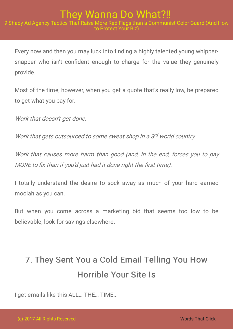Every now and then you may luck into finding a highly talented young whippersnapper who isn't confident enough to charge for the value they genuinely provide.

Most of the time, however, when you get a quote that's really low, be prepared to get what you pay for.

Work that doesn't get done.

Work that gets outsourced to some sweat shop in a 3rd world country.

Work that causes more harm than good (and, in the end, forces you to pay MORE to fix than if you'd just had it done right the first time).

I totally understand the desire to sock away as much of your hard earned moolah as you can.

But when you come across a marketing bid that seems too low to be believable, look for savings elsewhere.

# 7. They Sent You a Cold Email Telling You How Horrible Your Site Is

I get emails like this ALL… THE… TIME...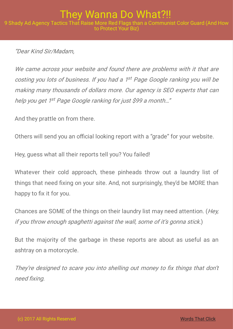"Dear Kind Sir/Madam,

We came across your website and found there are problems with it that are costing you lots of business. If you had a 1<sup>st</sup> Page Google ranking you will be making many thousands of dollars more. Our agency is SEO experts that can help you get 1<sup>st</sup> Page Google ranking for just \$99 a month..."

And they prattle on from there.

Others will send you an official looking report with a "grade" for your website.

Hey, guess what all their reports tell you? You failed!

Whatever their cold approach, these pinheads throw out a laundry list of things that need fixing on your site. And, not surprisingly, they'd be MORE than happy to fix it for you.

Chances are SOME of the things on their laundry list may need attention. (Hey, if you throw enough spaghetti against the wall, some of it's gonna stick.)

But the majority of the garbage in these reports are about as useful as an ashtray on a motorcycle.

They're designed to scare you into shelling out money to fix things that don't need fixing.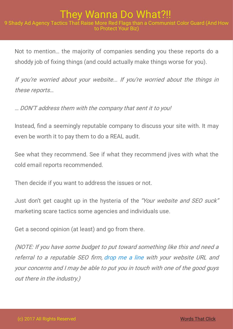#### They Wanna Do What?!! 9 Shady Ad Agency Tactics That Raise More Red Flags than a Communist Color Guard (And How to Protect Your Biz)

Not to mention… the majority of companies sending you these reports do a shoddy job of fixing things (and could actually make things worse for you).

If you're worried about your website... If you're worried about the things in these reports…

… DON'T address them with the company that sent it to you!

Instead, find a seemingly reputable company to discuss your site with. It may even be worth it to pay them to do a REAL audit.

See what they recommend. See if what they recommend jives with what the cold email reports recommended.

Then decide if you want to address the issues or not.

Just don't get caught up in the hysteria of the "Your website and SEO suck" marketing scare tactics some agencies and individuals use.

Get a second opinion (at least) and go from there.

(NOTE: If you have some budget to put toward something like this and need <sup>a</sup> referral to a reputable SEO firm, [drop](mailto: adam@wordsthatclick.com) me a line with your website URL and your concerns and I may be able to put you in touch with one of the good guys out there in the industry.)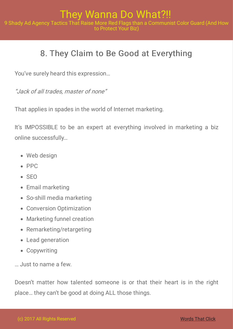# 8. They Claim to Be Good at Everything

You've surely heard this expression…

"Jack of all trades, master of none"

That applies in spades in the world of Internet marketing.

It's IMPOSSIBLE to be an expert at everything involved in marketing a biz online successfully…

- Web design
- $\bullet$  PPC
- $\bullet$  SFO
- Email marketing
- So-shill media marketing
- Conversion Optimization
- Marketing funnel creation
- Remarketing/retargeting
- Lead generation
- Copywriting

… Just to name a few.

Doesn't matter how talented someone is or that their heart is in the right place… they can't be good at doing ALL those things.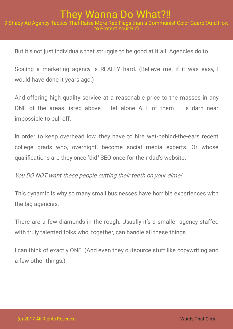#### They Wanna Do What?!! 9 Shady Ad Agency Tactics That Raise More Red Flags than a Communist Color Guard (And How to Protect Your Biz)

But it's not just individuals that struggle to be good at it all. Agencies do to.

Scaling a marketing agency is REALLY hard. (Believe me, if it was easy, I would have done it years ago.)

And offering high quality service at a reasonable price to the masses in any ONE of the areas listed above  $-$  let alone ALL of them  $-$  is darn near impossible to pull off.

In order to keep overhead low, they have to hire wet-behind-the-ears recent college grads who, overnight, become social media experts. Or whose qualifications are they once "did" SEO once for their dad's website.

#### You DO NOT want these people cutting their teeth on your dime!

This dynamic is why so many small businesses have horrible experiences with the big agencies.

There are a few diamonds in the rough. Usually it's a smaller agency staffed with truly talented folks who, together, can handle all these things.

I can think of exactly ONE. (And even they outsource stuff like copywriting and a few other things.)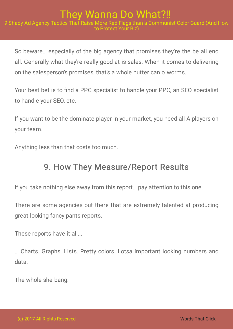So beware… especially of the big agency that promises they're the be all end all. Generally what they're really good at is sales. When it comes to delivering on the salesperson's promises, that's a whole nutter can o' worms.

Your best bet is to find a PPC specialist to handle your PPC, an SEO specialist to handle your SEO, etc.

If you want to be the dominate player in your market, you need all A players on your team.

Anything less than that costs too much.

## 9. How They Measure/Report Results

If you take nothing else away from this report… pay attention to this one.

There are some agencies out there that are extremely talented at producing great looking fancy pants reports.

These reports have it all...

… Charts. Graphs. Lists. Pretty colors. Lotsa important looking numbers and data.

The whole she-bang.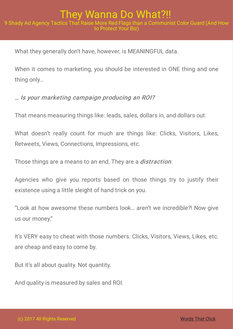What they generally don't have, however, is MEANINGFUL data.

When it comes to marketing, you should be interested in ONE thing and one thing only…

#### … Is your marketing campaign producing an ROI?

That means measuring things like: leads, sales, dollars in, and dollars out.

What doesn't really count for much are things like: Clicks, Visitors, Likes, Retweets, Views, Connections, Impressions, etc.

Those things are a means to an end. They are a *distraction*.

Agencies who give you reports based on those things try to justify their existence using a little sleight of hand trick on you.

"Look at how awesome these numbers look… aren't we incredible?! Now give us our money."

It's VERY easy to cheat with those numbers. Clicks, Visitors, Views, Likes, etc. are cheap and easy to come by.

But it's all about quality. Not quantity.

And quality is measured by sales and ROI.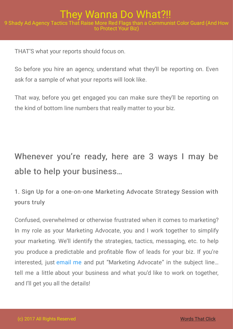THAT'S what your reports should focus on.

So before you hire an agency, understand what they'll be reporting on. Even ask for a sample of what your reports will look like.

That way, before you get engaged you can make sure they'll be reporting on the kind of bottom line numbers that really matter to your biz.

Whenever you're ready, here are 3 ways I may be able to help your business…

### 1. Sign Up for a one-on-one Marketing Advocate Strategy Session with yours truly

Confused, overwhelmed or otherwise frustrated when it comes to marketing? In my role as your Marketing Advocate, you and I work together to simplify your marketing. We'll identify the strategies, tactics, messaging, etc. to help you produce a predictable and profitable flow of leads for your biz. If you're interested, just [email](mailto: adam@wordsthatclick.com) me and put "Marketing Advocate" in the subject line… tell me a little about your business and what you'd like to work on together, and I'll get you all the details!